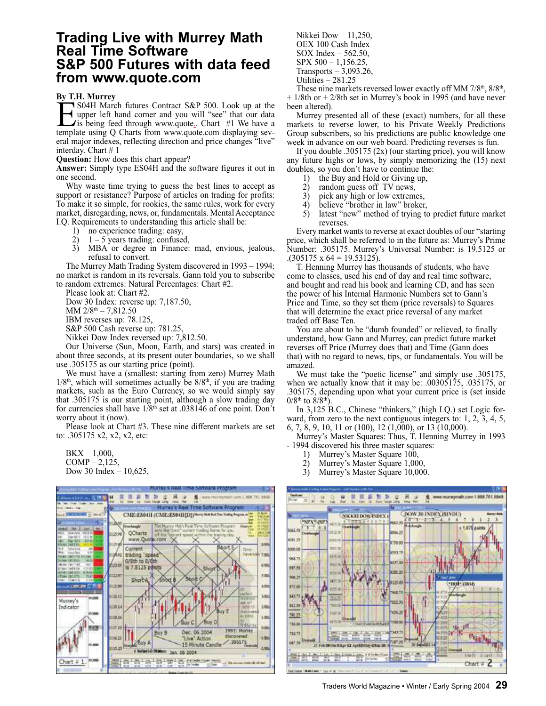### **Trading Live with Murrey Math Real Time Software S&P 500 Futures with data feed from www.quote.com**

#### **By T.H. Murrey**

**EXECUTE:** S04H March futures Contract S&P 500. Look up at the upper left hand corner and you will "see" that our data is being feed through www.quote<sub>s</sub>. Chart #1 We have a template using Q Charts from www.quote.com displ S04H March futures Contract S&P 500. Look up at the upper left hand corner and you will "see" that our data is being feed through www.quote.. Chart #1 We have a eral major indexes, reflecting direction and price changes "live" interday. Chart # 1

**Question:** How does this chart appear?

**Answer:** Simply type ES04H and the software figures it out in one second.

Why waste time trying to guess the best lines to accept as support or resistance? Purpose of articles on trading for profits: To make it so simple, for rookies, the same rules, work for every market, disregarding, news, or, fundamentals. Mental Acceptance I.Q. Requirements to understanding this article shall be:

- 
- 1) no experience trading: easy,<br>2)  $1-5$  years trading: confused 2)  $1 - 5$  years trading: confused,<br>3) MBA or degree in Finance:
- MBA or degree in Finance: mad, envious, jealous, refusal to convert.

The Murrey Math Trading System discovered in 1993 – 1994: no market is random in its reversals. Gann told you to subscribe to random extremes: Natural Percentages: Chart #2.

Please look at: Chart #2.

Dow 30 Index: reverse up: 7,187.50,

MM  $2/8$ <sup>th</sup>  $- 7,812.50$ 

IBM reverses up: 78.125,

S&P 500 Cash reverse up: 781.25,

Nikkei Dow Index reversed up: 7,812.50.

Our Universe (Sun, Moon, Earth, and stars) was created in about three seconds, at its present outer boundaries, so we shall use .305175 as our starting price (point).

We must have a (smallest: starting from zero) Murrey Math  $1/8<sup>th</sup>$ , which will sometimes actually be  $8/8<sup>th</sup>$ , if you are trading markets, such as the Euro Currency, so we would simply say that .305175 is our starting point, although a slow trading day for currencies shall have 1/8th set at .038146 of one point. Don't worry about it (now).

Please look at Chart #3. These nine different markets are set to: .305175 x2, x2, x2, etc:

 $BKX - 1,000$ ,  $COMP-2,125,$ Dow 30 Index  $-10,625$ ,



- Nikkei Dow 11,250, OEX 100 Cash Index SOX Index – 562.50, SPX 500 – 1,156.25,
- Transports  $-3,093.26$ ,
- Utilities 281.25

These nine markets reversed lower exactly off MM  $7/8<sup>th</sup>$ ,  $8/8<sup>th</sup>$ , + 1/8th or + 2/8th set in Murrey's book in 1995 (and have never been altered).

Murrey presented all of these (exact) numbers, for all these markets to reverse lower, to his Private Weekly Predictions Group subscribers, so his predictions are public knowledge one week in advance on our web board. Predicting reverses is fun.

If you double .305175 (2x) (our starting price), you will know any future highs or lows, by simply memorizing the (15) next doubles, so you don't have to continue the:

- 1) the Buy and Hold or Giving up,<br>2) random guess off TV news,
- 2) random guess of  $T$ V news,<br>3) pick any high or low extrem
- 3) pick any high or low extremes,<br>4) believe "brother in law" broker
- believe "brother in law" broker,
- 5) latest "new" method of trying to predict future market reverses.

Every market wants to reverse at exact doubles of our "starting price, which shall be referred to in the future as: Murrey's Prime Number: .305175. Murrey's Universal Number: is 19.5125 or  $(305175 \times 64 = 19.53125).$ 

T. Henning Murrey has thousands of students, who have come to classes, used his end of day and real time software, and bought and read his book and learning CD, and has seen the power of his Internal Harmonic Numbers set to Gann's Price and Time, so they set them (price reversals) to Squares that will determine the exact price reversal of any market traded off Base Ten.

You are about to be "dumb founded" or relieved, to finally understand, how Gann and Murrey, can predict future market reverses off Price (Murrey does that) and Time (Gann does that) with no regard to news, tips, or fundamentals. You will be amazed.

We must take the "poetic license" and simply use .305175, when we actually know that it may be: .00305175, .035175, or .305175, depending upon what your current price is (set inside  $0/8^{th}$  to  $8/8^{th}$ ).

In 3,125 B.C., Chinese "thinkers," (high I.Q.) set Logic forward, from zero to the next contiguous integers to: 1, 2, 3, 4, 5, 6, 7, 8, 9, 10, 11 or (100), 12 (1,000), or 13 (10,000).

Murrey's Master Squares: Thus, T. Henning Murrey in 1993 - 1994 discovered his three master squares:<br>1) Murrey's Master Square 100.

- Murrey's Master Square 100,
- 2) Murrey's Master Square 1,000,
- 3) Murrey's Master Square 10,000.

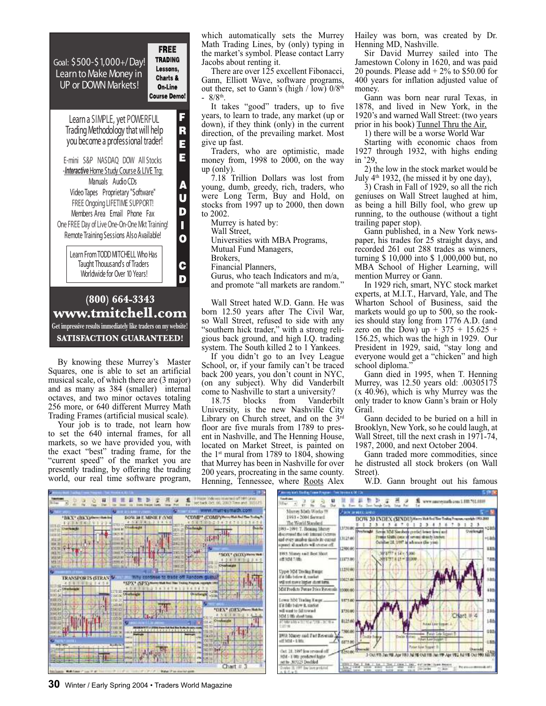Goal: \$500-\$1,000+/ Day! Learn to Make Money in UP or DOWN Markets! **Course Demo!** 

**FREE TRADING** Lessons, Charts & On-Line



By knowing these Murrey's Master Squares, one is able to set an artificial musical scale, of which there are (3 major) and as many as 384 (smaller) internal octaves, and two minor octaves totaling 256 more, or 640 different Murrey Math Trading Frames (artificial musical scale).

Your job is to trade, not learn how to set the 640 internal frames, for all markets, so we have provided you, with the exact "best" trading frame, for the "current speed" of the market you are presently trading, by offering the trading world, our real time software program,

which automatically sets the Murrey Math Trading Lines, by (only) typing in the market's symbol. Please contact Larry Jacobs about renting it.

There are over 125 excellent Fibonacci, Gann, Elliott Wave, software programs, out there, set to Gann's (high  $\ell$  low)  $0/8<sup>th</sup>$  $-8/8^{th}$ .

It takes "good" traders, up to five years, to learn to trade, any market (up or down), if they think (only) in the current direction, of the prevailing market. Most give up fast.

Traders, who are optimistic, made money from,  $1998$  to  $2000$ , on the way up (only).

7.18 Trillion Dollars was lost from young, dumb, greedy, rich, traders, who were Long Term, Buy and Hold, on stocks from 1997 up to 2000, then down to 2002.

Murrey is hated by:

Wall Street,

Universities with MBA Programs,

Mutual Fund Managers,

Brokers,

Financial Planners,

Gurus, who teach Indicators and m/a, and promote "all markets are random."

Wall Street hated W.D. Gann. He was born 12.50 years after The Civil War, so Wall Street, refused to side with any "southern hick trader," with a strong religious back ground, and high I.Q. trading system. The South killed 2 to 1 Yankees.

If you didn't go to an Ivey League School, or, if your family can't be traced back 200 years, you don't count in NYC, (on any subject). Why did Vanderbilt come to Nashville to start a university?<br>18.75 blocks from Vanderb

Vanderbilt University, is the new Nashville City Library on Church street, and on the  $3<sup>rd</sup>$ floor are five murals from 1789 to present in Nashville, and The Henning House, located on Market Street, is painted on the 1<sup>st</sup> mural from 1789 to 1804, showing that Murrey has been in Nashville for over 200 years, procreating in the same county. Henning, Tennessee, where Roots Alex Hailey was born, was created by Dr. Henning MD, Nashville.

Sir David Murrey sailed into The Jamestown Colony in 1620, and was paid 20 pounds. Please  $add + 2\%$  to \$50.00 for 400 years for inflation adjusted value of money.

Gann was born near rural Texas, in 1878, and lived in New York, in the 1920's and warned Wall Street: (two years prior in his book) Tunnel Thru the Air,

1) there will be a worse World War

Starting with economic chaos from 1927 through 1932, with highs ending in '29,

2) the low in the stock market would be July  $4<sup>th</sup>$  1932, (he missed it by one day),

3) Crash in Fall of 1929, so all the rich geniuses on Wall Street laughed at him, as being a hill Billy fool, who grew up running, to the outhouse (without a tight trailing paper stop).

Gann published, in a New York newspaper, his trades for 25 straight days, and recorded 261 out 288 trades as winners, turning \$ 10,000 into \$ 1,000,000 but, no MBA School of Higher Learning, will mention Murrey or Gann.

In 1929 rich, smart, NYC stock market experts, at M.I.T., Harvard, Yale, and The Wharton School of Business, said the markets would go up to 500, so the rookies should stay long from 1776 A.D. (and zero on the Dow) up +  $375 + 15.625 +$ 156.25, which was the high in 1929. Our President in 1929, said, "stay long and everyone would get a "chicken" and high school diploma."

Gann died in 1995, when T. Henning Murrey, was 12.50 years old: .00305175 (x 40.96), which is why Murrey was the only trader to know Gann's brain or Holy Grail.

Gann decided to be buried on a hill in Brooklyn, New York, so he could laugh, at Wall Street, till the next crash in 1971-74, 1987, 2000, and next October 2004.

Gann traded more commodities, since he distrusted all stock brokers (on Wall Street).



VB.



**30** Winter / Early Spring 2004 • Traders World Magazine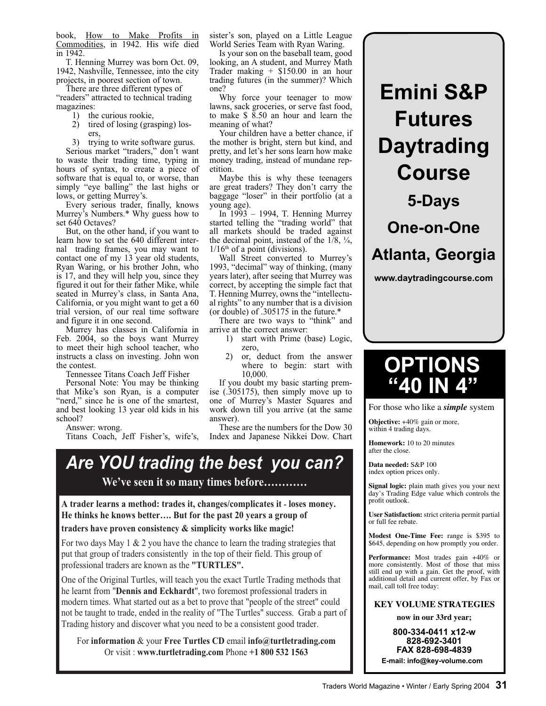book, How to Make Profits in Commodities, in 1942. His wife died in 1942.

T. Henning Murrey was born Oct. 09, 1942, Nashville, Tennessee, into the city projects, in poorest section of town.

There are three different types of "readers" attracted to technical trading magazines:

- 1) the curious rookie,
	- 2) tired of losing (grasping) losers,
	- 3) trying to write software gurus.

Serious market "traders," don't want to waste their trading time, typing in hours of syntax, to create a piece of software that is equal to, or worse, than simply "eye balling" the last highs or lows, or getting Murrey's.

Every serious trader, finally, knows Murrey's Numbers.\* Why guess how to set 640 Octaves?

But, on the other hand, if you want to learn how to set the 640 different internal trading frames, you may want to contact one of my 13 year old students, Ryan Waring, or his brother John, who is 17, and they will help you, since they figured it out for their father Mike, while seated in Murrey's class, in Santa Ana, California, or you might want to get a 60 trial version, of our real time software and figure it in one second.

Murrey has classes in California in Feb. 2004, so the boys want Murrey to meet their high school teacher, who instructs a class on investing. John won the contest.

Tennessee Titans Coach Jeff Fisher

Personal Note: You may be thinking that Mike's son Ryan, is a computer "nerd," since he is one of the smartest, and best looking 13 year old kids in his school?

Answer: wrong.

Titans Coach, Jeff Fisher's, wife's,

sister's son, played on a Little League World Series Team with Ryan Waring.

Is your son on the baseball team, good looking, an A student, and Murrey Math Trader making + \$150.00 in an hour trading futures (in the summer)? Which one?

Why force your teenager to mow lawns, sack groceries, or serve fast food, to make  $\frac{1}{2}$  8.50 an hour and learn the meaning of what?

Your children have a better chance, if the mother is bright, stern but kind, and pretty, and let's her sons learn how make money trading, instead of mundane repetition.

Maybe this is why these teenagers are great traders? They don't carry the baggage "loser" in their portfolio (at a young age).

In 1993 – 1994, T. Henning Murrey started telling the "trading world" that all markets should be traded against the decimal point, instead of the  $1/8$ ,  $\frac{1}{4}$ ,  $1/16<sup>th</sup>$  of a point (divisions).

Wall Street converted to Murrey's 1993, "decimal" way of thinking, (many years later), after seeing that Murrey was correct, by accepting the simple fact that T. Henning Murrey, owns the "intellectual rights" to any number that is a division (or double) of .305175 in the future.\*

There are two ways to "think" and arrive at the correct answer:

- 1) start with Prime (base) Logic, zero,
- 2) or, deduct from the answer where to begin: start with 10,000.

If you doubt my basic starting premise (.305175), then simply move up to one of Murrey's Master Squares and work down till you arrive (at the same answer).

These are the numbers for the Dow 30 Index and Japanese Nikkei Dow. Chart

## Are YOU trading the best you can? We've seen it so many times before............

A trader learns a method: trades it, changes/complicates it - loses money. He thinks he knows better.... But for the past 20 years a group of traders have proven consistency  $&$  simplicity works like magic!

For two days May 1  $&$  2 you have the chance to learn the trading strategies that put that group of traders consistently in the top of their field. This group of professional traders are known as the "TURTLES".

One of the Original Turtles, will teach you the exact Turtle Trading methods that he learnt from "Dennis and Eckhardt", two foremost professional traders in modern times. What started out as a bet to prove that "people of the street" could not be taught to trade, ended in the reality of "The Turtles" success. Grab a part of Trading history and discover what you need to be a consistent good trader.

For information & your Free Turtles CD email info@turtletrading.com Or visit : www.turtletrading.com Phone +1 800 532 1563

**Emini S&P Futures Daytrading Course 5-Days One-on-One**

**Atlanta, Georgia**

**www.daytradingcourse.com**

# **OPTIONS "40 IN 4"**

For those who like a *simple* system

**Objective:** +40% gain or more, within 4 trading days.

**Homework:** 10 to 20 minutes after the close.

**Data needed:** S&P 100 index option prices only.

**Signal logic:** plain math gives you your next day's Trading Edge value which controls the profit outlook.

**User Satisfaction:** strict criteria permit partial or full fee rebate.

**Modest One-Time Fee:** range is \$395 to \$645, depending on how promptly you order.

**Performance:** Most trades gain +40% or more consistently. Most of those that miss still end up with a gain. Get the proof, with additional detail and current offer, by Fax or mail, call toll free today:

**KEY VOLUME STRATEGIES**

**now in our 33rd year;** 

**800-334-0411 x12-w 828-692-3401 FAX 828-698-4839 E-mail: info@key-volume.com**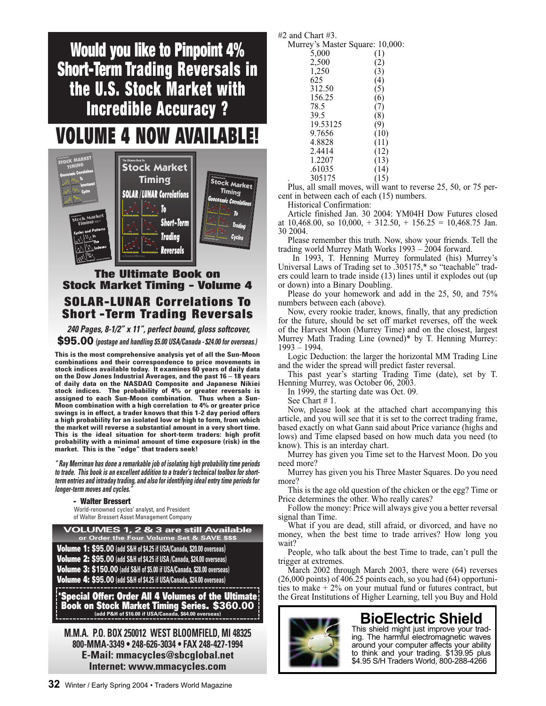Would you like to Pinpoint 4% Short-Term Trading Reversals in the U.S. Stock Market with Incredible Accuracy ?

# VOLUME 4 NOW AVAILABLE!



### The Ultimate Book on Stock Market Timing - Volume 4 SOLAR-LUNAR Correlations To Short -Term Trading Reversals

**240 Pages, 8-1/2" x 11", perfect bound, gloss softcover,** \$95.00 **(postage and handling \$5.00 USA/Canada - \$24.00 for overseas.)**

**This is the most comprehensive analysis yet of all the Sun-Moon combinations and their correspondence to price movements in stock indices available today. It examines 60 years of daily data on the Dow Jones Industrial Averages, and the past 16 – 18 years of daily data on the NASDAQ Composite and Japanese Nikiei stock indices. The probability of 4% or greater reversals is assigned to each Sun-Moon combination. Thus when a Sun-Moon combination with a high correlation to 4% or greater price swings is in effect, a trader knows that this 1-2 day period offers a high probability for an isolated low or high to form, from which the market will reverse a substantial amount in a very short time. This is the ideal situation for short-term traders: high profit probability with a minimal amount of time exposure (risk) in the market. This is the "edge" that traders seek!**

**" Ray Merriman has done a remarkable job of isolating high probability time periods to trade. This book is an excellent addition to a trader's technical toolbox for shortterm entries and intraday trading, and also for identifying ideal entry time periods for longer-term moves and cycles."**

#### - Walter Bressert

World-renowned cycles' analyst, and President of Walter Bressert Asset Management Company

**VOLUMES 1, 2 & 3 are still Available or Order the Four Volume Set & SAVE \$\$\$**

Volume 1: \$95.00 **(add S&H of \$4.25 if USA/Canada, \$20.00 overseas)** Volume 2: \$95.00 **(add S&H of \$4.25 if USA /Canada, \$24.00 overseas)**

Volume 3: \$150.00 **(add S&H of \$5.00 if USA/Canada, \$28.00 overseas)** Volume 4: \$95.00 **(add S&H of \$4.25 if USA/Canada, \$24.00 overseas)**

\*Special Offer: Order All 4 Volumes of the Ultimate Book on Stock Market Timing Series. \$360.00 **(add P&H of \$16.00 if USA/Canada, \$64.00 overseas)**

**M.M.A. P.O. BOX 250012 WEST BLOOMFIELD, MI 48325 800-MMA-3349 • 248-626-3034 • FAX 248-427-1994 E-Mail: mmacycles@sbcglobal.net Internet: www.mmacycles.com**

#2 and Chart #3.

Murrey's Master Square: 10,000:

| 5,000    |      |
|----------|------|
| 2,500    | (2)  |
| 1,250    | 3)   |
| 625      | 4)   |
| 312.50   | (5)  |
| 156.25   | (6)  |
| 78.5     |      |
| 39.5     | (8)  |
| 19.53125 | (9)  |
| 9.7656   | 10)  |
| 4.8828   | (11) |
| 2.4414   | (12) |
| 1.2207   | (13) |
| .61035   | (14) |
| 305175   | 15)  |
|          |      |

Plus, all small moves, will want to reverse 25, 50, or 75 percent in between each of each (15) numbers.

Historical Confirmation:

Article finished Jan. 30 2004: YM04H Dow Futures closed at  $10,468.00$ , so  $10,000$ ,  $+ 312.50$ ,  $+ 156.25 = 10,468.75$  Jan. 30 2004.

Please remember this truth. Now, show your friends. Tell the trading world Murrey Math Works  $1993 - 2004$  forward.

 In 1993, T. Henning Murrey formulated (his) Murrey's Universal Laws of Trading set to .305175,\* so "teachable" traders could learn to trade inside (13) lines until it explodes out (up or down) into a Binary Doubling.

Please do your homework and add in the 25, 50, and 75% numbers between each (above).

Now, every rookie trader, knows, finally, that any prediction for the future, should be set off market reverses, off the week of the Harvest Moon (Murrey Time) and on the closest, largest Murrey Math Trading Line (owned)\* by T. Henning Murrey: 1993 – 1994.

Logic Deduction: the larger the horizontal MM Trading Line and the wider the spread will predict faster reversal.

This past year's starting Trading Time (date), set by T. Henning Murrey, was October 06, 2003.

In 1999, the starting date was Oct. 09.

See Chart # 1.

Now, please look at the attached chart accompanying this article, and you will see that it is set to the correct trading frame, based exactly on what Gann said about Price variance (highs and lows) and Time elapsed based on how much data you need (to know). This is an interday chart.

Murrey has given you Time set to the Harvest Moon. Do you need more?

Murrey has given you his Three Master Squares. Do you need more?

This is the age old question of the chicken or the egg? Time or Price determines the other. Who really cares?

Follow the money: Price will always give you a better reversal signal than Time.

What if you are dead, still afraid, or divorced, and have no money, when the best time to trade arrives? How long you wait?

People, who talk about the best Time to trade, can't pull the trigger at extremes.

March 2002 through March 2003, there were (64) reverses (26,000 points) of 406.25 points each, so you had (64) opportunities to make + 2% on your mutual fund or futures contract, but the Great Institutions of Higher Learning, tell you Buy and Hold



## **BioElectric Shield**

This shield might just improve your trading. The harmful electromagnetic waves around your computer affects your ability to think and your trading. \$139.95 plus \$4.95 S/H Traders World, 800-288-4266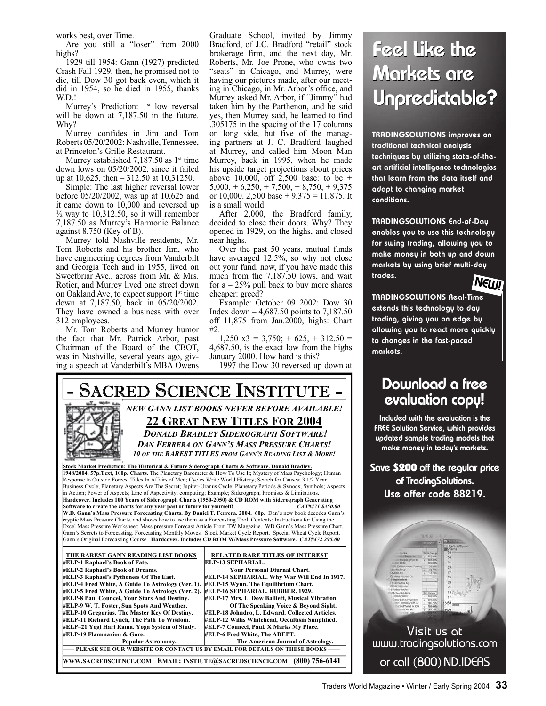works best, over Time.

Are you still a "loser" from 2000 highs?

1929 till 1954: Gann (1927) predicted Crash Fall 1929, then, he promised not to die, till Dow 30 got back even, which it did in 1954, so he died in 1955, thanks W.D.!

Murrey's Prediction: 1st low reversal will be down at 7,187.50 in the future. Why?

Murrey confides in Jim and Tom Roberts 05/20/2002: Nashville, Tennessee, at Princeton's Grille Restaurant.

Murrey established  $7,187.50$  as  $1<sup>st</sup>$  time down lows on 05/20/2002, since it failed up at 10,625, then – 312.50 at 10,31250.

Simple: The last higher reversal lower before 05/20/2002, was up at 10,625 and it came down to 10,000 and reversed up  $\frac{1}{2}$  way to 10,312.50, so it will remember 7,187.50 as Murrey's Harmonic Balance against 8,750 (Key of B).

Murrey told Nashville residents, Mr. Tom Roberts and his brother Jim, who have engineering degrees from Vanderbilt and Georgia Tech and in 1955, lived on Sweetbriar Ave., across from Mr. & Mrs. Rotier, and Murrey lived one street down on Oakland Ave, to expect support 1<sup>st</sup> time down at 7,187.50, back in 05/20/2002. They have owned a business with over 312 employees.

Mr. Tom Roberts and Murrey humor the fact that Mr. Patrick Arbor, past Chairman of the Board of the CBOT, was in Nashville, several years ago, giving a speech at Vanderbilt's MBA Owens Graduate School, invited by Jimmy Bradford, of J.C. Bradford "retail" stock brokerage firm, and the next day, Mr. Roberts, Mr. Joe Prone, who owns two "seats" in Chicago, and Murrey, were having our pictures made, after our meeting in Chicago, in Mr. Arbor's office, and Murrey asked Mr. Arbor, if "Jimmy" had taken him by the Parthenon, and he said yes, then Murrey said, he learned to find .305175 in the spacing of the 17 columns on long side, but five of the managing partners at J. C. Bradford laughed at Murrey, and called him Moon Man Murrey, back in 1995, when he made his upside target projections about prices above 10,000, off  $2,500$  base: to be +  $5,000, +6,250, +7,500, +8,750, +9,375$ or 10,000. 2,500 base +  $9,375 = 11,875$ . It is a small world.

After 2,000, the Bradford family, decided to close their doors. Why? They opened in 1929, on the highs, and closed near highs.

Over the past 50 years, mutual funds have averaged 12.5%, so why not close out your fund, now, if you have made this much from the 7,187.50 lows, and wait for  $a - 25\%$  pull back to buy more shares cheaper: greed?

Example: October 09 2002: Dow 30 Index down – 4,687.50 points to 7,187.50 off 11,875 from Jan.2000, highs: Chart #2.

 $1,250 \text{ x}3 = 3,750; +625, +312.50 =$ 4,687.50, is the exact low from the highs January 2000. How hard is this?

1997 the Dow 30 reversed up down at



# Feel Like the Markets are Unpredictable?

TRADINGSOLUTIONS improves on traditional technical analysis techniques by utilizing state-of-theart artificial intelligence technologies that learn from the data itself and adapt to changing market conditions.

TRADINGSOLUTIONS End-of-Day enables you to use this technology for swing trading, allowing you to make money in both up and down markets by using brief multi-day trades.



TRADINGSOLUTIONS Real-Time extends this technology to day trading, giving you an edge by allowing you to react more quickly to changes in the fast-paced markets.

## Download a free evaluation copy!

Included with the evaluation is the FREE Solution Service, which provides updated sample trading models that make money in today's markets.

Save \$200 off the regular price of TradingSolutions. Use offer code 88219.

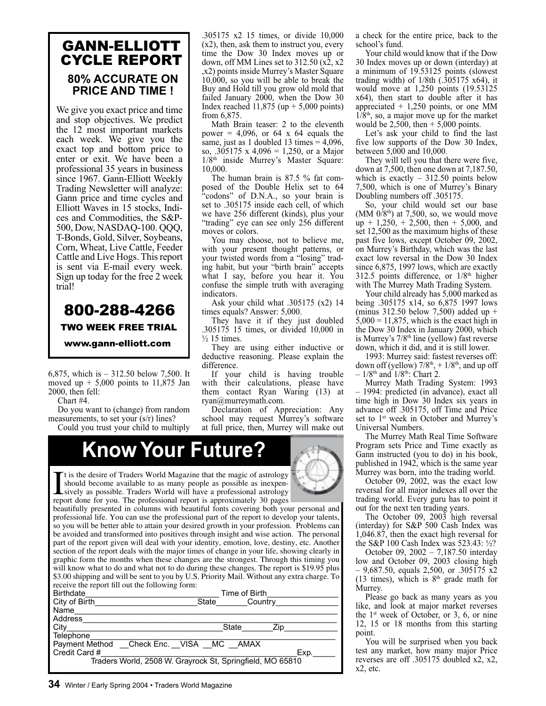### GANN-ELLIOTT CYCLE REPORT **80% ACCURATE ON PRICE AND TIME !**

We give you exact price and time and stop objectives. We predict the 12 most important markets each week. We give you the exact top and bottom price to enter or exit. We have been a professional 35 years in business since 1967. Gann-Elliott Weekly Trading Newsletter will analyze: Gann price and time cycles and Elliott Waves in 15 stocks, Indices and Commodities, the S&P-500, Dow, NASDAQ-100. QQQ, T-Bonds, Gold, Silver, Soybeans, Corn, Wheat, Live Cattle, Feeder Cattle and Live Hogs. This report is sent via E-mail every week. Sign up today for the free 2 week trial!

### 800-288-4266 TWO WEEK FREE TRIAL www.gann-elliott.com

6,875, which is – 312.50 below 7,500. It moved up  $+ 5,000$  points to 11,875 Jan 2000, then fell:

Chart #4.

Do you want to (change) from random measurements, to set your (s/r) lines?

Could you trust your child to multiply

.305175 x2 15 times, or divide 10,000 (x2), then, ask them to instruct you, every time the Dow 30 Index moves up or down, off MM Lines set to 312.50 (x2, x2 ,x2) points inside Murrey's Master Square 10,000, so you will be able to break the Buy and Hold till you grow old mold that failed January 2000, when the Dow 30 Index reached  $11,875$  (up  $+ 5,000$  points) from 6,875.

Math Brain teaser: 2 to the eleventh power = 4,096, or 64 x 64 equals the same, just as 1 doubled 13 times  $= 4,096$ , so, .305175 x 4,096 = 1,250, or a Major 1/8<sup>th</sup> inside Murrey's Master Square: 10,000.

The human brain is 87.5 % fat composed of the Double Helix set to 64 "codons" of D.N.A., so your brain is set to .305175 inside each cell, of which we have 256 different (kinds), plus your "trading" eye can see only 256 different moves or colors.

You may choose, not to believe me, with your present thought patterns, or your twisted words from a "losing" trading habit, but your "birth brain" accepts what I say, before you hear it. You confuse the simple truth with averaging indicators.

Ask your child what .305175 (x2) 14 times equals? Answer: 5,000.

They have it if they just doubled .305175 15 times, or divided 10,000 in  $\frac{1}{2}$  15 times.

They are using either inductive or deductive reasoning. Please explain the difference.

If your child is having trouble with their calculations, please have them contact Ryan Waring (13) at ryan@murreymath.com.

Declaration of Appreciation: Any school may request Murrey's software at full price, then, Murrey will make out

# **Know Your Future?**

It is the desire of Traders World Magazine that the magic of astrology<br>should become available to as many people as possible as inexpen-<br>sively as possible. Traders World will have a professional astrology<br>report done for  $\blacksquare$  t is the desire of Traders World Magazine that the magic of astrology should become available to as many people as possible as inexpenreport done for you. The professional report is approximately 30 pages

beautifully presented in columns with beautiful fonts covering both your personal and professional life. You can use the professional part of the report to develop your talents, so you will be better able to attain your desired growth in your profession. Problems can be avoided and transformed into positives through insight and wise action. The personal part of the report given will deal with your identity, emotion, love, destiny, etc. Another section of the report deals with the major times of change in your life, showing clearly in graphic form the months when these changes are the strongest. Through this timing you will know what to do and what not to do during these changes. The report is \$19.95 plus \$3.00 shipping and will be sent to you by U.S. Priority Mail. Without any extra charge. To receive the report fill out the following form:

| <b>Birthdate</b>                                          | Time of Birth    |  |
|-----------------------------------------------------------|------------------|--|
| City of Birth                                             | State<br>Country |  |
| Name                                                      |                  |  |
| Address                                                   |                  |  |
| City                                                      | State<br>Zip.    |  |
| Telephone                                                 |                  |  |
| Payment Method __Check Enc. __VISA __MC __AMAX            |                  |  |
| Credit Card #                                             | Exp.             |  |
| Traders World, 2508 W. Grayrock St, Springfield, MO 65810 |                  |  |
|                                                           |                  |  |

a check for the entire price, back to the school's fund.

Your child would know that if the Dow 30 Index moves up or down (interday) at a minimum of 19.53125 points (slowest trading width) of 1/8th (.305175 x64), it would move at 1,250 points (19.53125 x64), then start to double after it has appreciated + 1,250 points, or one MM  $1/8<sup>th</sup>$ , so, a major move up for the market would be 2,500, then  $+$  5,000 points.

Let's ask your child to find the last five low supports of the Dow 30 Index, between 5,000 and 10,000.

They will tell you that there were five, down at 7,500, then one down at 7,187.50, which is exactly  $-312.50$  points below 7,500, which is one of Murrey's Binary Doubling numbers off .305175.

So, your child would set our base  $(MM 0/8<sup>th</sup>)$  at 7,500, so, we would move  $up + 1,250 + 2,500$ , then + 5,000, and set 12,500 as the maximum highs of these past five lows, except October 09, 2002, on Murrey's Birthday, which was the last exact low reversal in the Dow 30 Index since 6,875, 1997 lows, which are exactly 312.5 points difference, or  $1/8<sup>th</sup>$  higher with The Murrey Math Trading System.

Your child already has 5,000 marked as being .305175 x14, so 6,875 1997 lows (minus 312.50 below 7,500) added up +  $5,000 = 11,875$ , which is the exact high in the Dow 30 Index in January 2000, which is Murrey's 7/8<sup>th</sup> line (yellow) fast reverse down, which it did, and it is still lower.

1993: Murrey said: fastest reverses off: down off (yellow)  $7/8<sup>th</sup>$ ,  $+1/8<sup>th</sup>$ , and up off  $-1/8$ <sup>th</sup> and  $1/8$ <sup>th</sup>: Chart 2.

Murrey Math Trading System: 1993 – 1994: predicted (in advance), exact all time high in Dow 30 Index six years in advance off .305175, off Time and Price set to 1<sup>st</sup> week in October and Murrey's Universal Numbers.

The Murrey Math Real Time Software Program sets Price and Time exactly as Gann instructed (you to do) in his book, published in 1942, which is the same year Murrey was born, into the trading world.

October 09, 2002, was the exact low reversal for all major indexes all over the trading world. Every guru has to point it out for the next ten trading years.

The October 09, 2003 high reversal (interday) for S&P 500 Cash Index was 1,046.87, then the exact high reversal for the S&P 100 Cash Index was 523.43: ½?

October 09, 2002 – 7,187.50 interday low and October 09, 2003 closing high  $-9,687.50$ , equals 2,500, or .305175 x2 (13 times), which is  $8<sup>th</sup>$  grade math for Murrey.

Please go back as many years as you like, and look at major market reverses the 1st week of October, or 3, 6, or nine 12, 15 or 18 months from this starting point.

You will be surprised when you back test any market, how many major Price reverses are off .305175 doubled x2, x2,  $x2$ , etc.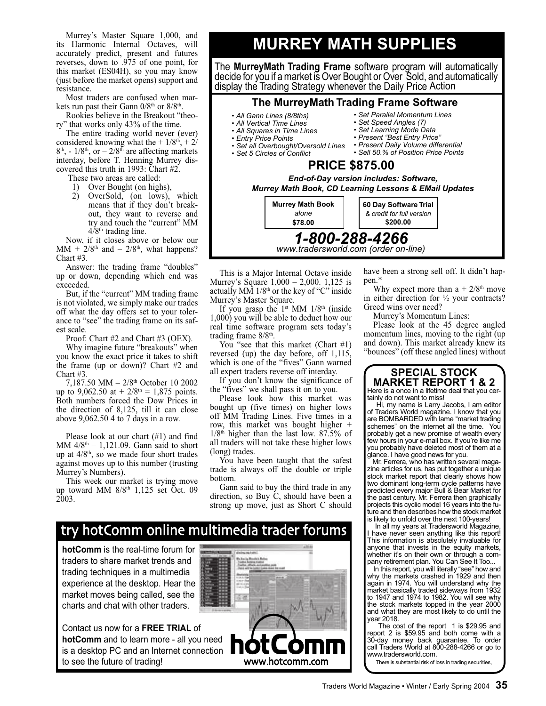Murrey's Master Square 1,000, and its Harmonic Internal Octaves, will accurately predict, present and futures reverses, down to .975 of one point, for this market (ES04H), so you may know (just before the market opens) support and resistance.

Most traders are confused when markets run past their Gann  $0/8<sup>th</sup>$  or  $8/8<sup>th</sup>$ .

Rookies believe in the Breakout "theory" that works only 43% of the time.

The entire trading world never (ever) considered knowing what the  $+1/8$ <sup>th</sup>,  $+2/$  $8<sup>th</sup>$ ,  $-1/8<sup>th</sup>$ , or  $-2/8<sup>th</sup>$  are affecting markets interday, before T. Henning Murrey discovered this truth in 1993: Chart #2.

These two areas are called:

- 1) Over Bought (on highs),
- 2) OverSold, (on lows), which means that if they don't breakout, they want to reverse and try and touch the "current" MM  $4/8$ <sup>th</sup> trading line.

Now, if it closes above or below our  $MM + 2/8<sup>th</sup>$  and  $- 2/8<sup>th</sup>$ , what happens? Chart #3.

Answer: the trading frame "doubles" up or down, depending which end was exceeded.

But, if the "current" MM trading frame is not violated, we simply make our trades off what the day offers set to your tolerance to "see" the trading frame on its safest scale.

Proof: Chart #2 and Chart #3 (OEX).

Why imagine future "breakouts" when you know the exact price it takes to shift the frame (up or down)? Chart #2 and Chart #3.

7,187.50 MM – 2/8th October 10 2002 up to 9,062.50 at +  $2/8$ <sup>th</sup> = 1,875 points. Both numbers forced the Dow Prices in the direction of 8,125, till it can close above 9,062.50 4 to 7 days in a row.

Please look at our chart (#1) and find MM  $4/8<sup>th</sup> - 1,121.09$ . Gann said to short up at  $4/8$ <sup>th</sup>, so we made four short trades against moves up to this number (trusting Murrey's Numbers).

This week our market is trying move up toward MM 8/8<sup>th</sup> 1,125 set Oct. 09 2003.

## **MURREY MATH SUPPLIES**

The **MurreyMath Trading Frame** software program will automatically decide for you if a market is Over Bought or Over Sold, and automatically display the Trading Strategy whenever the Daily Price Action

#### **The MurreyMath Trading Frame Software**

- *All Gann Lines (8/8ths)*
- *All Vertical Time Lines*
- *All Squares in Time Lines*
- *Entry Price Points*
- *Set all Overbought/Oversold Lines*
- Set 5 Circles of Conflict
- *Set Parallel Momentum Lines • Set Speed Angles (7)*
- *Set Learning Mode Data*
- *Present "Best Entry Price"*
	- *Present Daily Volume differential • Sell 50.% of Position Price Points*
	-

#### *1-800-288-4266* **PRICE \$875.00** *End-of-Day version includes: Software, Murrey Math Book, CD Learning Lessons & EMail Updates* **Murrey Math Book** *alone* **\$78.00 60 Day Software Trial**  *& credit for full version* **\$200.00**

*www.tradersworld.com (order on-line)*

This is a Major Internal Octave inside Murrey's Square 1,000 – 2,000. 1,125 is actually MM  $1/8$ <sup>th</sup> or the key of "C" inside Murrey's Master Square.

If you grasp the  $1<sup>st</sup>$  MM  $1/8<sup>th</sup>$  (inside 1,000) you will be able to deduct how our real time software program sets today's trading frame  $8/8<sup>th</sup>$ .

You "see that this market (Chart #1) reversed (up) the day before, off 1,115, which is one of the "fives" Gann warned all expert traders reverse off interday.

If you don't know the significance of the "fives" we shall pass it on to you.

Please look how this market was bought up (five times) on higher lows off MM Trading Lines. Five times in a row, this market was bought higher +  $1/8<sup>th</sup>$  higher than the last low. 87.5% of all traders will not take these higher lows (long) trades.

You have been taught that the safest trade is always off the double or triple bottom.

Gann said to buy the third trade in any direction, so Buy C, should have been a strong up move, just as Short C should

### hot Comm online multimedia trader forums

**hotComm** is the real-time forum for traders to share market trends and trading techniques in a multimedia experience at the desktop. Hear the market moves being called, see the charts and chat with other traders.

Contact us now for a **FREE TRIAL** of **hotComm** and to learn more - all you need is a desktop PC and an Internet connection to see the future of trading!



have been a strong sell off. It didn't happen.\*

Why expect more than  $a + 2/8<sup>th</sup>$  move in either direction for  $\frac{1}{2}$  your contracts? Greed wins over need?

Murrey's Momentum Lines:

Please look at the 45 degree angled momentum lines, moving to the right (up and down). This market already knew its "bounces" (off these angled lines) without

#### **SPECIAL STOCK MARKET REPORT 1 & 2**

Here is a once in a lifetime deal that you certainly do not want to miss!

 Hi, my name is Larry Jacobs, I am editor of Traders World magazine. I know that you are BOMBARDED with lame "market trading schemes" on the internet all the time. You probably get a new promise of wealth every few hours in your e-mail box. If you're like me you probably have deleted most of them at a glance. I have good news for you.

 Mr. Ferrera, who has written several magazine articles for us, has put together a unique stock market report that clearly shows how two dominant long-term cycle patterns have predicted every major Bull & Bear Market for the past century. Mr. Ferrera then graphically projects this cyclic model 16 years into the future and then describes how the stock market is likely to unfold over the next 100-years!

 In all my years at Tradersworld Magazine, have never seen anything like this report! This information is absolutely invaluable for anyone that invests in the equity markets, whether it's on their own or through a company retirement plan. You Can See It Too...

 In this report, you will literally "see" how and why the markets crashed in 1929 and then again in 1974. You will understand why the market basically traded sideways from 1932 to 1947 and 1974 to 1982. You will see why the stock markets topped in the year 2000 and what they are most likely to do until the year 2018.

The cost of the report 1 is \$29.95 and report 2 is \$59.95 and both come with a 30-day money back guarantee. To order call Traders World at 800-288-4266 or go to www.tradersworld.com.

There is substantial risk of loss in trading securities,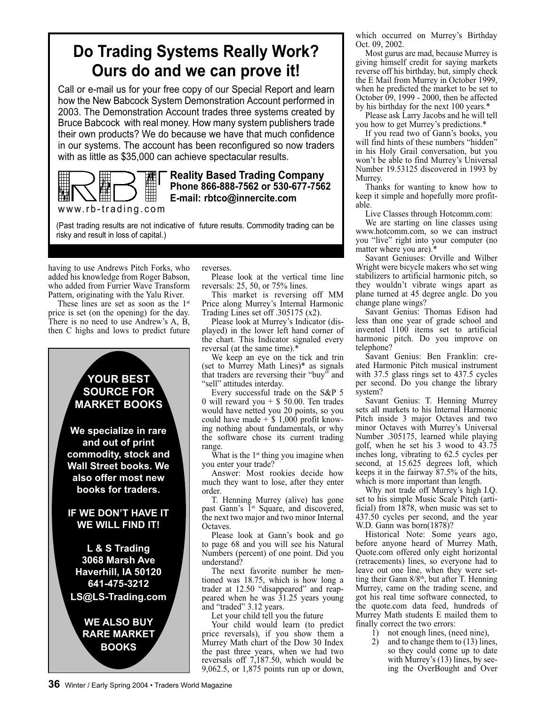## **Do Trading Systems Really Work? Ours do and we can prove it!**

Call or e-mail us for your free copy of our Special Report and learn how the New Babcock System Demonstration Account performed in 2003. The Demonstration Account trades three systems created by Bruce Babcock with real money. How many system publishers trade their own products? We do because we have that much confidence in our systems. The account has been reconfigured so now traders with as little as \$35,000 can achieve spectacular results.



**Reality Based Trading Company Phone 866-888-7562 or 530-677-7562 E-mail: rbtco@innercite.com**

www.rb-trading.com

(Past trading results are not indicative of future results. Commodity trading can be risky and result in loss of capital.)

having to use Andrews Pitch Forks, who added his knowledge from Roger Babson, who added from Furrier Wave Transform Pattern, originating with the Yalu River.

These lines are set as soon as the 1<sup>st</sup> price is set (on the opening) for the day. There is no need to use Andrew's A, B, then C highs and lows to predict future

### **YOUR BEST SOURCE FOR MARKET BOOKS**

**We specialize in rare and out of print commodity, stock and Wall Street books. We also offer most new books for traders.**

#### **IF WE DON'T HAVE IT WE WILL FIND IT!**

**L & S Trading 3068 Marsh Ave Haverhill, IA 50120 641-475-3212 LS@LS-Trading.com**

**WE ALSO BUY RARE MARKET BOOKS**

reverses.

Please look at the vertical time line reversals: 25, 50, or 75% lines.

This market is reversing off MM Price along Murrey's Internal Harmonic Trading Lines set off .305175 (x2).

Please look at Murrey's Indicator (displayed) in the lower left hand corner of the chart. This Indicator signaled every reversal (at the same time).\*

We keep an eye on the tick and trin (set to Murrey Math Lines)\* as signals that traders are reversing their "buy" and "sell" attitudes interday.

Every successful trade on the S&P 5 0 will reward you  $+$  \$ 50.00. Ten trades would have netted you 20 points, so you could have made  $+$  \$ 1,000 profit knowing nothing about fundamentals, or why the software chose its current trading range.

What is the  $1<sup>st</sup>$  thing you imagine when you enter your trade?

Answer: Most rookies decide how much they want to lose, after they enter order.

T. Henning Murrey (alive) has gone past Gann's <sup>1st</sup> Square, and discovered, the next two major and two minor Internal Octaves.

Please look at Gann's book and go to page 68 and you will see his Natural Numbers (percent) of one point. Did you understand?

The next favorite number he mentioned was 18.75, which is how long a trader at 12.50 "disappeared" and reappeared when he was 31.25 years young and "traded" 3.12 years.

Let your child tell you the future

Your child would learn (to predict price reversals), if you show them a Murrey Math chart of the Dow 30 Index the past three years, when we had two reversals off 7,187.50, which would be 9,062.5, or 1,875 points run up or down, which occurred on Murrey's Birthday Oct. 09, 2002.

Most gurus are mad, because Murrey is giving himself credit for saying markets reverse off his birthday, but, simply check the E Mail from Murrey in October 1999, when he predicted the market to be set to October 09, 1999 - 2000, then be affected by his birthday for the next 100 years.\*

Please ask Larry Jacobs and he will tell you how to get Murrey's predictions.\*

If you read two of Gann's books, you will find hints of these numbers "hidden" in his Holy Grail conversation, but you won't be able to find Murrey's Universal Number 19.53125 discovered in 1993 by Murrey.

Thanks for wanting to know how to keep it simple and hopefully more profitable.

Live Classes through Hotcomm.com:

We are starting on line classes using www.hotcomm.com, so we can instruct you "live" right into your computer (no matter where you are).\*

Savant Geniuses: Orville and Wilber Wright were bicycle makers who set wing stabilizers to artificial harmonic pitch, so they wouldn't vibrate wings apart as plane turned at 45 degree angle. Do you change plane wings?

Savant Genius: Thomas Edison had less than one year of grade school and invented 1100 items set to artificial harmonic pitch. Do you improve on telephone?

Savant Genius: Ben Franklin: created Harmonic Pitch musical instrument with 37.5 glass rings set to 437.5 cycles per second. Do you change the library system?

Savant Genius: T. Henning Murrey sets all markets to his Internal Harmonic Pitch inside 3 major Octaves and two minor Octaves with Murrey's Universal Number .305175, learned while playing golf, when he set his 3 wood to 43.75 inches long, vibrating to 62.5 cycles per second, at 15.625 degrees loft, which keeps it in the fairway 87.5% of the hits, which is more important than length.

Why not trade off Murrey's high I.Q. set to his simple Music Scale Pitch (artificial) from 1878, when music was set to 437.50 cycles per second, and the year W.D. Gann was born(1878)?

Historical Note: Some years ago, before anyone heard of Murrey Math, Quote.com offered only eight horizontal (retracements) lines, so everyone had to leave out one line, when they were setting their Gann 8/8<sup>th</sup>, but after T. Henning Murrey, came on the trading scene, and got his real time software connected, to the quote.com data feed, hundreds of Murrey Math students E mailed them to finally correct the two errors:

- 1) not enough lines, (need nine),
- 2) and to change them to (13) lines, so they could come up to date with Murrey's (13) lines, by seeing the OverBought and Over